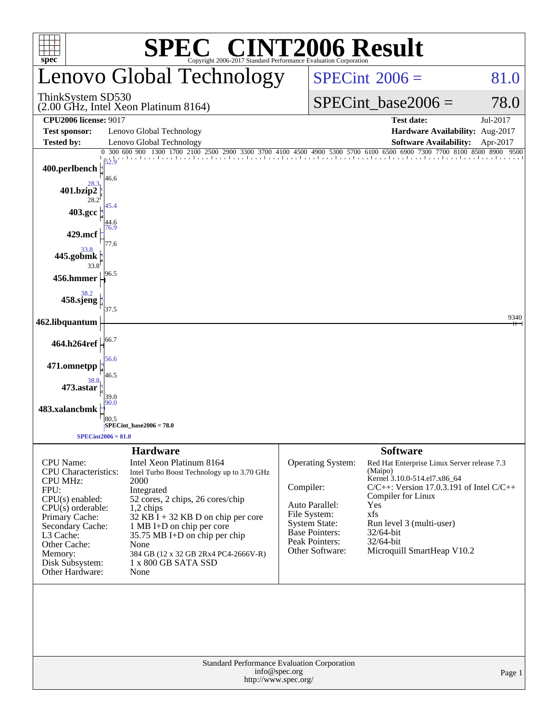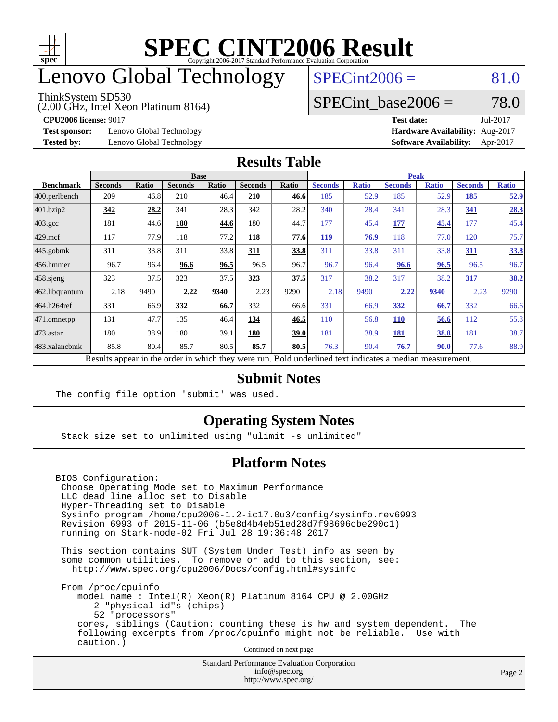

### enovo Global Technology

#### ThinkSystem SD530

(2.00 GHz, Intel Xeon Platinum 8164)

 $SPECint2006 = 81.0$  $SPECint2006 = 81.0$ 

#### SPECint base2006 =  $78.0$

**[Test sponsor:](http://www.spec.org/auto/cpu2006/Docs/result-fields.html#Testsponsor)** Lenovo Global Technology **[Hardware Availability:](http://www.spec.org/auto/cpu2006/Docs/result-fields.html#HardwareAvailability)** Aug-2017

**[CPU2006 license:](http://www.spec.org/auto/cpu2006/Docs/result-fields.html#CPU2006license)** 9017 **[Test date:](http://www.spec.org/auto/cpu2006/Docs/result-fields.html#Testdate)** Jul-2017 **[Tested by:](http://www.spec.org/auto/cpu2006/Docs/result-fields.html#Testedby)** Lenovo Global Technology **[Software Availability:](http://www.spec.org/auto/cpu2006/Docs/result-fields.html#SoftwareAvailability)** Apr-2017

#### **[Results Table](http://www.spec.org/auto/cpu2006/Docs/result-fields.html#ResultsTable)**

|                                                                                                          | <b>Base</b>    |       |                |              |                |       | <b>Peak</b>    |              |                |              |                |              |
|----------------------------------------------------------------------------------------------------------|----------------|-------|----------------|--------------|----------------|-------|----------------|--------------|----------------|--------------|----------------|--------------|
| <b>Benchmark</b>                                                                                         | <b>Seconds</b> | Ratio | <b>Seconds</b> | <b>Ratio</b> | <b>Seconds</b> | Ratio | <b>Seconds</b> | <b>Ratio</b> | <b>Seconds</b> | <b>Ratio</b> | <b>Seconds</b> | <b>Ratio</b> |
| 400.perlbench                                                                                            | 209            | 46.8  | 210            | 46.4         | 210            | 46.6  | 185            | 52.9         | 185            | 52.9         | 185            | <u>52.9</u>  |
| 401.bzip2                                                                                                | 342            | 28.2  | 341            | 28.3         | 342            | 28.2  | 340            | 28.4         | 341            | 28.3         | 341            | 28.3         |
| $403.\mathrm{gcc}$                                                                                       | 181            | 44.6  | 180            | 44.6         | 180            | 44.7  | 177            | 45.4         | 177            | 45.4         | 177            | 45.4         |
| $429$ mcf                                                                                                | 117            | 77.9  | 118            | 77.2         | 118            | 77.6  | 119            | 76.9         | 118            | 77.0         | 120            | 75.7         |
| $445$ .gobmk                                                                                             | 311            | 33.8  | 311            | 33.8         | 311            | 33.8  | 311            | 33.8         | 311            | 33.8         | 311            | 33.8         |
| $456.$ hmmer                                                                                             | 96.7           | 96.4  | 96.6           | 96.5         | 96.5           | 96.7  | 96.7           | 96.4         | 96.6           | 96.5         | 96.5           | 96.7         |
| $458$ .sjeng                                                                                             | 323            | 37.5  | 323            | 37.5         | 323            | 37.5  | 317            | 38.2         | 317            | 38.2         | 317            | 38.2         |
| 462.libquantum                                                                                           | 2.18           | 9490  | 2.22           | 9340         | 2.23           | 9290  | 2.18           | 9490         | 2.22           | 9340         | 2.23           | 9290         |
| 464.h264ref                                                                                              | 331            | 66.9  | 332            | 66.7         | 332            | 66.6  | 331            | 66.9         | 332            | 66.7         | 332            | 66.6         |
| $ 471$ .omnetpp                                                                                          | 131            | 47.7  | 135            | 46.4         | 134            | 46.5  | 110            | 56.8         | <b>110</b>     | 56.6         | 112            | 55.8         |
| $473$ . astar                                                                                            | 180            | 38.9  | 180            | 39.1         | 180            | 39.0  | 181            | 38.9         | 181            | 38.8         | 181            | 38.7         |
| 483.xalancbmk                                                                                            | 85.8           | 80.4  | 85.7           | 80.5         | 85.7           | 80.5  | 76.3           | 90.4         | 76.7           | 90.0         | 77.6           | 88.9         |
| Results appear in the order in which they were run. Bold underlined text indicates a median measurement. |                |       |                |              |                |       |                |              |                |              |                |              |

#### **[Submit Notes](http://www.spec.org/auto/cpu2006/Docs/result-fields.html#SubmitNotes)**

The config file option 'submit' was used.

#### **[Operating System Notes](http://www.spec.org/auto/cpu2006/Docs/result-fields.html#OperatingSystemNotes)**

Stack size set to unlimited using "ulimit -s unlimited"

#### **[Platform Notes](http://www.spec.org/auto/cpu2006/Docs/result-fields.html#PlatformNotes)**

BIOS Configuration: Choose Operating Mode set to Maximum Performance LLC dead line alloc set to Disable Hyper-Threading set to Disable Sysinfo program /home/cpu2006-1.2-ic17.0u3/config/sysinfo.rev6993 Revision 6993 of 2015-11-06 (b5e8d4b4eb51ed28d7f98696cbe290c1) running on Stark-node-02 Fri Jul 28 19:36:48 2017

 This section contains SUT (System Under Test) info as seen by some common utilities. To remove or add to this section, see: <http://www.spec.org/cpu2006/Docs/config.html#sysinfo>

 From /proc/cpuinfo model name : Intel(R) Xeon(R) Platinum 8164 CPU @ 2.00GHz 2 "physical id"s (chips) 52 "processors" cores, siblings (Caution: counting these is hw and system dependent. The following excerpts from /proc/cpuinfo might not be reliable. Use with caution.)

Continued on next page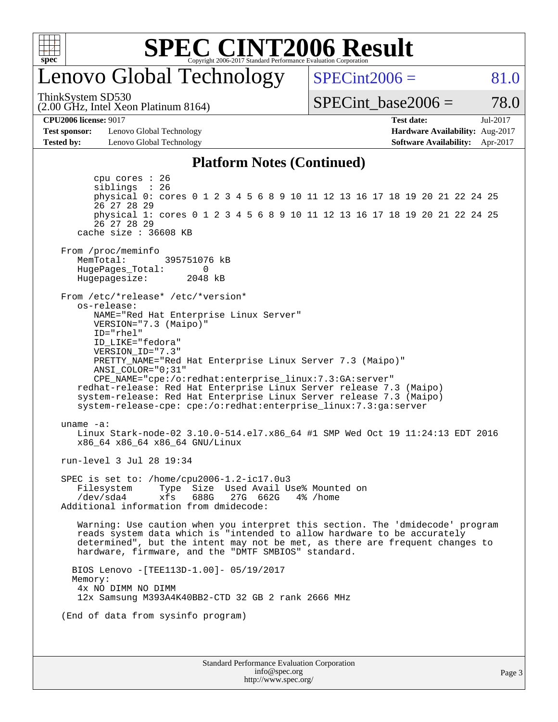

### enovo Global Technology

ThinkSystem SD530

(2.00 GHz, Intel Xeon Platinum 8164)

 $SPECint2006 = 81.0$  $SPECint2006 = 81.0$ 

SPECint base2006 =  $78.0$ 

**[Test sponsor:](http://www.spec.org/auto/cpu2006/Docs/result-fields.html#Testsponsor)** Lenovo Global Technology **[Hardware Availability:](http://www.spec.org/auto/cpu2006/Docs/result-fields.html#HardwareAvailability)** Aug-2017 **[Tested by:](http://www.spec.org/auto/cpu2006/Docs/result-fields.html#Testedby)** Lenovo Global Technology **[Software Availability:](http://www.spec.org/auto/cpu2006/Docs/result-fields.html#SoftwareAvailability)** Apr-2017

**[CPU2006 license:](http://www.spec.org/auto/cpu2006/Docs/result-fields.html#CPU2006license)** 9017 **[Test date:](http://www.spec.org/auto/cpu2006/Docs/result-fields.html#Testdate)** Jul-2017

#### **[Platform Notes \(Continued\)](http://www.spec.org/auto/cpu2006/Docs/result-fields.html#PlatformNotes)**

Standard Performance Evaluation Corporation [info@spec.org](mailto:info@spec.org) <http://www.spec.org/> Page 3 cpu cores : 26 siblings : 26 physical 0: cores 0 1 2 3 4 5 6 8 9 10 11 12 13 16 17 18 19 20 21 22 24 25 26 27 28 29 physical 1: cores 0 1 2 3 4 5 6 8 9 10 11 12 13 16 17 18 19 20 21 22 24 25 26 27 28 29 cache size : 36608 KB From /proc/meminfo MemTotal: 395751076 kB<br>HugePages Total: 0 HugePages\_Total: 0 Hugepagesize: 2048 kB From /etc/\*release\* /etc/\*version\* os-release: NAME="Red Hat Enterprise Linux Server" VERSION="7.3 (Maipo)" ID="rhel" ID\_LIKE="fedora" VERSION\_ID="7.3" PRETTY\_NAME="Red Hat Enterprise Linux Server 7.3 (Maipo)" ANSI\_COLOR="0;31" CPE\_NAME="cpe:/o:redhat:enterprise\_linux:7.3:GA:server" redhat-release: Red Hat Enterprise Linux Server release 7.3 (Maipo) system-release: Red Hat Enterprise Linux Server release 7.3 (Maipo) system-release-cpe: cpe:/o:redhat:enterprise\_linux:7.3:ga:server uname -a: Linux Stark-node-02 3.10.0-514.el7.x86\_64 #1 SMP Wed Oct 19 11:24:13 EDT 2016 x86\_64 x86\_64 x86\_64 GNU/Linux run-level 3 Jul 28 19:34 SPEC is set to: /home/cpu2006-1.2-ic17.0u3 Filesystem Type Size Used Avail Use% Mounted on /dev/sda4 xfs 688G 27G 662G 4% /home Additional information from dmidecode: Warning: Use caution when you interpret this section. The 'dmidecode' program reads system data which is "intended to allow hardware to be accurately determined", but the intent may not be met, as there are frequent changes to hardware, firmware, and the "DMTF SMBIOS" standard. BIOS Lenovo -[TEE113D-1.00]- 05/19/2017 Memory: 4x NO DIMM NO DIMM 12x Samsung M393A4K40BB2-CTD 32 GB 2 rank 2666 MHz (End of data from sysinfo program)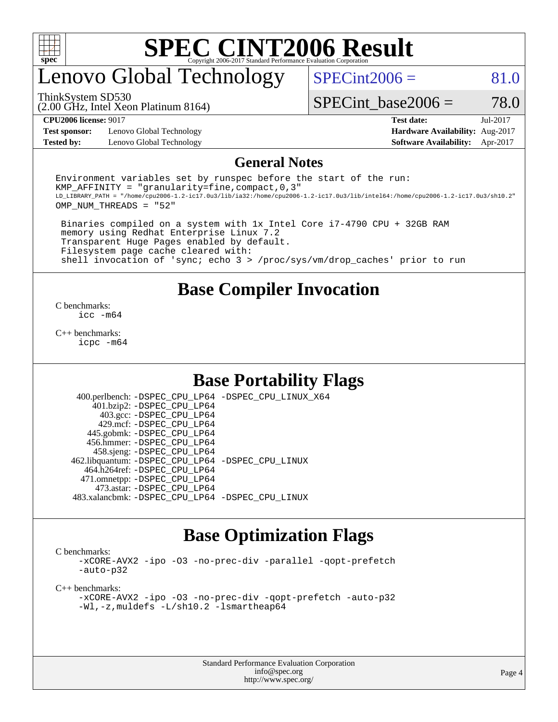

# enovo Global Technology

 $SPECint2006 = 81.0$  $SPECint2006 = 81.0$ 

(2.00 GHz, Intel Xeon Platinum 8164) ThinkSystem SD530

SPECint base2006 =  $78.0$ 

**[Test sponsor:](http://www.spec.org/auto/cpu2006/Docs/result-fields.html#Testsponsor)** Lenovo Global Technology **[Hardware Availability:](http://www.spec.org/auto/cpu2006/Docs/result-fields.html#HardwareAvailability)** Aug-2017 **[Tested by:](http://www.spec.org/auto/cpu2006/Docs/result-fields.html#Testedby)** Lenovo Global Technology **[Software Availability:](http://www.spec.org/auto/cpu2006/Docs/result-fields.html#SoftwareAvailability)** Apr-2017

**[CPU2006 license:](http://www.spec.org/auto/cpu2006/Docs/result-fields.html#CPU2006license)** 9017 **[Test date:](http://www.spec.org/auto/cpu2006/Docs/result-fields.html#Testdate)** Jul-2017

#### **[General Notes](http://www.spec.org/auto/cpu2006/Docs/result-fields.html#GeneralNotes)**

Environment variables set by runspec before the start of the run: KMP AFFINITY = "granularity=fine, compact,  $0,3$ " LD\_LIBRARY\_PATH = "/home/cpu2006-1.2-ic17.0u3/lib/ia32:/home/cpu2006-1.2-ic17.0u3/lib/intel64:/home/cpu2006-1.2-ic17.0u3/sh10.2" OMP\_NUM\_THREADS = "52"

 Binaries compiled on a system with 1x Intel Core i7-4790 CPU + 32GB RAM memory using Redhat Enterprise Linux 7.2 Transparent Huge Pages enabled by default. Filesystem page cache cleared with: shell invocation of 'sync; echo 3 > /proc/sys/vm/drop\_caches' prior to run

#### **[Base Compiler Invocation](http://www.spec.org/auto/cpu2006/Docs/result-fields.html#BaseCompilerInvocation)**

[C benchmarks](http://www.spec.org/auto/cpu2006/Docs/result-fields.html#Cbenchmarks): [icc -m64](http://www.spec.org/cpu2006/results/res2017q4/cpu2006-20170918-49689.flags.html#user_CCbase_intel_icc_64bit_bda6cc9af1fdbb0edc3795bac97ada53)

[C++ benchmarks:](http://www.spec.org/auto/cpu2006/Docs/result-fields.html#CXXbenchmarks) [icpc -m64](http://www.spec.org/cpu2006/results/res2017q4/cpu2006-20170918-49689.flags.html#user_CXXbase_intel_icpc_64bit_fc66a5337ce925472a5c54ad6a0de310)

#### **[Base Portability Flags](http://www.spec.org/auto/cpu2006/Docs/result-fields.html#BasePortabilityFlags)**

 400.perlbench: [-DSPEC\\_CPU\\_LP64](http://www.spec.org/cpu2006/results/res2017q4/cpu2006-20170918-49689.flags.html#b400.perlbench_basePORTABILITY_DSPEC_CPU_LP64) [-DSPEC\\_CPU\\_LINUX\\_X64](http://www.spec.org/cpu2006/results/res2017q4/cpu2006-20170918-49689.flags.html#b400.perlbench_baseCPORTABILITY_DSPEC_CPU_LINUX_X64) 401.bzip2: [-DSPEC\\_CPU\\_LP64](http://www.spec.org/cpu2006/results/res2017q4/cpu2006-20170918-49689.flags.html#suite_basePORTABILITY401_bzip2_DSPEC_CPU_LP64) 403.gcc: [-DSPEC\\_CPU\\_LP64](http://www.spec.org/cpu2006/results/res2017q4/cpu2006-20170918-49689.flags.html#suite_basePORTABILITY403_gcc_DSPEC_CPU_LP64) 429.mcf: [-DSPEC\\_CPU\\_LP64](http://www.spec.org/cpu2006/results/res2017q4/cpu2006-20170918-49689.flags.html#suite_basePORTABILITY429_mcf_DSPEC_CPU_LP64) 445.gobmk: [-DSPEC\\_CPU\\_LP64](http://www.spec.org/cpu2006/results/res2017q4/cpu2006-20170918-49689.flags.html#suite_basePORTABILITY445_gobmk_DSPEC_CPU_LP64) 456.hmmer: [-DSPEC\\_CPU\\_LP64](http://www.spec.org/cpu2006/results/res2017q4/cpu2006-20170918-49689.flags.html#suite_basePORTABILITY456_hmmer_DSPEC_CPU_LP64) 458.sjeng: [-DSPEC\\_CPU\\_LP64](http://www.spec.org/cpu2006/results/res2017q4/cpu2006-20170918-49689.flags.html#suite_basePORTABILITY458_sjeng_DSPEC_CPU_LP64) 462.libquantum: [-DSPEC\\_CPU\\_LP64](http://www.spec.org/cpu2006/results/res2017q4/cpu2006-20170918-49689.flags.html#suite_basePORTABILITY462_libquantum_DSPEC_CPU_LP64) [-DSPEC\\_CPU\\_LINUX](http://www.spec.org/cpu2006/results/res2017q4/cpu2006-20170918-49689.flags.html#b462.libquantum_baseCPORTABILITY_DSPEC_CPU_LINUX) 464.h264ref: [-DSPEC\\_CPU\\_LP64](http://www.spec.org/cpu2006/results/res2017q4/cpu2006-20170918-49689.flags.html#suite_basePORTABILITY464_h264ref_DSPEC_CPU_LP64) 471.omnetpp: [-DSPEC\\_CPU\\_LP64](http://www.spec.org/cpu2006/results/res2017q4/cpu2006-20170918-49689.flags.html#suite_basePORTABILITY471_omnetpp_DSPEC_CPU_LP64) 473.astar: [-DSPEC\\_CPU\\_LP64](http://www.spec.org/cpu2006/results/res2017q4/cpu2006-20170918-49689.flags.html#suite_basePORTABILITY473_astar_DSPEC_CPU_LP64) 483.xalancbmk: [-DSPEC\\_CPU\\_LP64](http://www.spec.org/cpu2006/results/res2017q4/cpu2006-20170918-49689.flags.html#suite_basePORTABILITY483_xalancbmk_DSPEC_CPU_LP64) [-DSPEC\\_CPU\\_LINUX](http://www.spec.org/cpu2006/results/res2017q4/cpu2006-20170918-49689.flags.html#b483.xalancbmk_baseCXXPORTABILITY_DSPEC_CPU_LINUX)

#### **[Base Optimization Flags](http://www.spec.org/auto/cpu2006/Docs/result-fields.html#BaseOptimizationFlags)**

[C benchmarks](http://www.spec.org/auto/cpu2006/Docs/result-fields.html#Cbenchmarks):

[-xCORE-AVX2](http://www.spec.org/cpu2006/results/res2017q4/cpu2006-20170918-49689.flags.html#user_CCbase_f-xCORE-AVX2) [-ipo](http://www.spec.org/cpu2006/results/res2017q4/cpu2006-20170918-49689.flags.html#user_CCbase_f-ipo) [-O3](http://www.spec.org/cpu2006/results/res2017q4/cpu2006-20170918-49689.flags.html#user_CCbase_f-O3) [-no-prec-div](http://www.spec.org/cpu2006/results/res2017q4/cpu2006-20170918-49689.flags.html#user_CCbase_f-no-prec-div) [-parallel](http://www.spec.org/cpu2006/results/res2017q4/cpu2006-20170918-49689.flags.html#user_CCbase_f-parallel) [-qopt-prefetch](http://www.spec.org/cpu2006/results/res2017q4/cpu2006-20170918-49689.flags.html#user_CCbase_f-qopt-prefetch) [-auto-p32](http://www.spec.org/cpu2006/results/res2017q4/cpu2006-20170918-49689.flags.html#user_CCbase_f-auto-p32)

[C++ benchmarks:](http://www.spec.org/auto/cpu2006/Docs/result-fields.html#CXXbenchmarks)

[-xCORE-AVX2](http://www.spec.org/cpu2006/results/res2017q4/cpu2006-20170918-49689.flags.html#user_CXXbase_f-xCORE-AVX2) [-ipo](http://www.spec.org/cpu2006/results/res2017q4/cpu2006-20170918-49689.flags.html#user_CXXbase_f-ipo) [-O3](http://www.spec.org/cpu2006/results/res2017q4/cpu2006-20170918-49689.flags.html#user_CXXbase_f-O3) [-no-prec-div](http://www.spec.org/cpu2006/results/res2017q4/cpu2006-20170918-49689.flags.html#user_CXXbase_f-no-prec-div) [-qopt-prefetch](http://www.spec.org/cpu2006/results/res2017q4/cpu2006-20170918-49689.flags.html#user_CXXbase_f-qopt-prefetch) [-auto-p32](http://www.spec.org/cpu2006/results/res2017q4/cpu2006-20170918-49689.flags.html#user_CXXbase_f-auto-p32) [-Wl,-z,muldefs](http://www.spec.org/cpu2006/results/res2017q4/cpu2006-20170918-49689.flags.html#user_CXXbase_link_force_multiple1_74079c344b956b9658436fd1b6dd3a8a) [-L/sh10.2 -lsmartheap64](http://www.spec.org/cpu2006/results/res2017q4/cpu2006-20170918-49689.flags.html#user_CXXbase_SmartHeap64_63911d860fc08c15fa1d5bf319b9d8d5)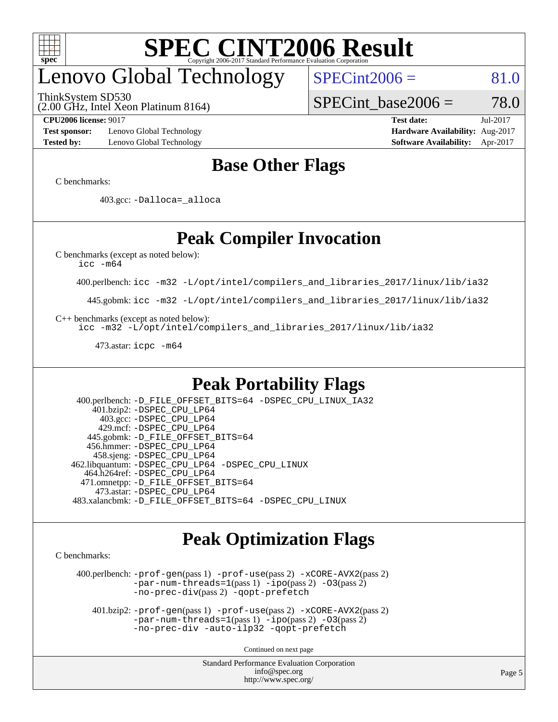

# enovo Global Technology

ThinkSystem SD530

 $SPECint2006 = 81.0$  $SPECint2006 = 81.0$ 

(2.00 GHz, Intel Xeon Platinum 8164)

SPECint base2006 =  $78.0$ 

**[Test sponsor:](http://www.spec.org/auto/cpu2006/Docs/result-fields.html#Testsponsor)** Lenovo Global Technology **[Hardware Availability:](http://www.spec.org/auto/cpu2006/Docs/result-fields.html#HardwareAvailability)** Aug-2017 **[Tested by:](http://www.spec.org/auto/cpu2006/Docs/result-fields.html#Testedby)** Lenovo Global Technology **[Software Availability:](http://www.spec.org/auto/cpu2006/Docs/result-fields.html#SoftwareAvailability)** Apr-2017

**[CPU2006 license:](http://www.spec.org/auto/cpu2006/Docs/result-fields.html#CPU2006license)** 9017 **[Test date:](http://www.spec.org/auto/cpu2006/Docs/result-fields.html#Testdate)** Jul-2017

#### **[Base Other Flags](http://www.spec.org/auto/cpu2006/Docs/result-fields.html#BaseOtherFlags)**

[C benchmarks](http://www.spec.org/auto/cpu2006/Docs/result-fields.html#Cbenchmarks):

403.gcc: [-Dalloca=\\_alloca](http://www.spec.org/cpu2006/results/res2017q4/cpu2006-20170918-49689.flags.html#b403.gcc_baseEXTRA_CFLAGS_Dalloca_be3056838c12de2578596ca5467af7f3)

### **[Peak Compiler Invocation](http://www.spec.org/auto/cpu2006/Docs/result-fields.html#PeakCompilerInvocation)**

[C benchmarks \(except as noted below\)](http://www.spec.org/auto/cpu2006/Docs/result-fields.html#Cbenchmarksexceptasnotedbelow):

[icc -m64](http://www.spec.org/cpu2006/results/res2017q4/cpu2006-20170918-49689.flags.html#user_CCpeak_intel_icc_64bit_bda6cc9af1fdbb0edc3795bac97ada53)

400.perlbench: [icc -m32 -L/opt/intel/compilers\\_and\\_libraries\\_2017/linux/lib/ia32](http://www.spec.org/cpu2006/results/res2017q4/cpu2006-20170918-49689.flags.html#user_peakCCLD400_perlbench_intel_icc_c29f3ff5a7ed067b11e4ec10a03f03ae)

445.gobmk: [icc -m32 -L/opt/intel/compilers\\_and\\_libraries\\_2017/linux/lib/ia32](http://www.spec.org/cpu2006/results/res2017q4/cpu2006-20170918-49689.flags.html#user_peakCCLD445_gobmk_intel_icc_c29f3ff5a7ed067b11e4ec10a03f03ae)

[C++ benchmarks \(except as noted below\):](http://www.spec.org/auto/cpu2006/Docs/result-fields.html#CXXbenchmarksexceptasnotedbelow)

[icc -m32 -L/opt/intel/compilers\\_and\\_libraries\\_2017/linux/lib/ia32](http://www.spec.org/cpu2006/results/res2017q4/cpu2006-20170918-49689.flags.html#user_CXXpeak_intel_icc_c29f3ff5a7ed067b11e4ec10a03f03ae)

473.astar: [icpc -m64](http://www.spec.org/cpu2006/results/res2017q4/cpu2006-20170918-49689.flags.html#user_peakCXXLD473_astar_intel_icpc_64bit_fc66a5337ce925472a5c54ad6a0de310)

#### **[Peak Portability Flags](http://www.spec.org/auto/cpu2006/Docs/result-fields.html#PeakPortabilityFlags)**

 400.perlbench: [-D\\_FILE\\_OFFSET\\_BITS=64](http://www.spec.org/cpu2006/results/res2017q4/cpu2006-20170918-49689.flags.html#user_peakPORTABILITY400_perlbench_file_offset_bits_64_438cf9856305ebd76870a2c6dc2689ab) [-DSPEC\\_CPU\\_LINUX\\_IA32](http://www.spec.org/cpu2006/results/res2017q4/cpu2006-20170918-49689.flags.html#b400.perlbench_peakCPORTABILITY_DSPEC_CPU_LINUX_IA32) 401.bzip2: [-DSPEC\\_CPU\\_LP64](http://www.spec.org/cpu2006/results/res2017q4/cpu2006-20170918-49689.flags.html#suite_peakPORTABILITY401_bzip2_DSPEC_CPU_LP64) 403.gcc: [-DSPEC\\_CPU\\_LP64](http://www.spec.org/cpu2006/results/res2017q4/cpu2006-20170918-49689.flags.html#suite_peakPORTABILITY403_gcc_DSPEC_CPU_LP64) 429.mcf: [-DSPEC\\_CPU\\_LP64](http://www.spec.org/cpu2006/results/res2017q4/cpu2006-20170918-49689.flags.html#suite_peakPORTABILITY429_mcf_DSPEC_CPU_LP64) 445.gobmk: [-D\\_FILE\\_OFFSET\\_BITS=64](http://www.spec.org/cpu2006/results/res2017q4/cpu2006-20170918-49689.flags.html#user_peakPORTABILITY445_gobmk_file_offset_bits_64_438cf9856305ebd76870a2c6dc2689ab) 456.hmmer: [-DSPEC\\_CPU\\_LP64](http://www.spec.org/cpu2006/results/res2017q4/cpu2006-20170918-49689.flags.html#suite_peakPORTABILITY456_hmmer_DSPEC_CPU_LP64) 458.sjeng: [-DSPEC\\_CPU\\_LP64](http://www.spec.org/cpu2006/results/res2017q4/cpu2006-20170918-49689.flags.html#suite_peakPORTABILITY458_sjeng_DSPEC_CPU_LP64) 462.libquantum: [-DSPEC\\_CPU\\_LP64](http://www.spec.org/cpu2006/results/res2017q4/cpu2006-20170918-49689.flags.html#suite_peakPORTABILITY462_libquantum_DSPEC_CPU_LP64) [-DSPEC\\_CPU\\_LINUX](http://www.spec.org/cpu2006/results/res2017q4/cpu2006-20170918-49689.flags.html#b462.libquantum_peakCPORTABILITY_DSPEC_CPU_LINUX) 464.h264ref: [-DSPEC\\_CPU\\_LP64](http://www.spec.org/cpu2006/results/res2017q4/cpu2006-20170918-49689.flags.html#suite_peakPORTABILITY464_h264ref_DSPEC_CPU_LP64) 471.omnetpp: [-D\\_FILE\\_OFFSET\\_BITS=64](http://www.spec.org/cpu2006/results/res2017q4/cpu2006-20170918-49689.flags.html#user_peakPORTABILITY471_omnetpp_file_offset_bits_64_438cf9856305ebd76870a2c6dc2689ab) 473.astar: [-DSPEC\\_CPU\\_LP64](http://www.spec.org/cpu2006/results/res2017q4/cpu2006-20170918-49689.flags.html#suite_peakPORTABILITY473_astar_DSPEC_CPU_LP64) 483.xalancbmk: [-D\\_FILE\\_OFFSET\\_BITS=64](http://www.spec.org/cpu2006/results/res2017q4/cpu2006-20170918-49689.flags.html#user_peakPORTABILITY483_xalancbmk_file_offset_bits_64_438cf9856305ebd76870a2c6dc2689ab) [-DSPEC\\_CPU\\_LINUX](http://www.spec.org/cpu2006/results/res2017q4/cpu2006-20170918-49689.flags.html#b483.xalancbmk_peakCXXPORTABILITY_DSPEC_CPU_LINUX)

#### **[Peak Optimization Flags](http://www.spec.org/auto/cpu2006/Docs/result-fields.html#PeakOptimizationFlags)**

[C benchmarks](http://www.spec.org/auto/cpu2006/Docs/result-fields.html#Cbenchmarks):

 400.perlbench: [-prof-gen](http://www.spec.org/cpu2006/results/res2017q4/cpu2006-20170918-49689.flags.html#user_peakPASS1_CFLAGSPASS1_LDCFLAGS400_perlbench_prof_gen_e43856698f6ca7b7e442dfd80e94a8fc)(pass 1) [-prof-use](http://www.spec.org/cpu2006/results/res2017q4/cpu2006-20170918-49689.flags.html#user_peakPASS2_CFLAGSPASS2_LDCFLAGS400_perlbench_prof_use_bccf7792157ff70d64e32fe3e1250b55)(pass 2) [-xCORE-AVX2](http://www.spec.org/cpu2006/results/res2017q4/cpu2006-20170918-49689.flags.html#user_peakPASS2_CFLAGSPASS2_LDCFLAGS400_perlbench_f-xCORE-AVX2)(pass 2) [-par-num-threads=1](http://www.spec.org/cpu2006/results/res2017q4/cpu2006-20170918-49689.flags.html#user_peakPASS1_CFLAGSPASS1_LDCFLAGS400_perlbench_par_num_threads_786a6ff141b4e9e90432e998842df6c2)(pass 1) [-ipo](http://www.spec.org/cpu2006/results/res2017q4/cpu2006-20170918-49689.flags.html#user_peakPASS2_CFLAGSPASS2_LDCFLAGS400_perlbench_f-ipo)(pass 2) [-O3](http://www.spec.org/cpu2006/results/res2017q4/cpu2006-20170918-49689.flags.html#user_peakPASS2_CFLAGSPASS2_LDCFLAGS400_perlbench_f-O3)(pass 2) [-no-prec-div](http://www.spec.org/cpu2006/results/res2017q4/cpu2006-20170918-49689.flags.html#user_peakPASS2_CFLAGSPASS2_LDCFLAGS400_perlbench_f-no-prec-div)(pass 2) [-qopt-prefetch](http://www.spec.org/cpu2006/results/res2017q4/cpu2006-20170918-49689.flags.html#user_peakCOPTIMIZE400_perlbench_f-qopt-prefetch)

 401.bzip2: [-prof-gen](http://www.spec.org/cpu2006/results/res2017q4/cpu2006-20170918-49689.flags.html#user_peakPASS1_CFLAGSPASS1_LDCFLAGS401_bzip2_prof_gen_e43856698f6ca7b7e442dfd80e94a8fc)(pass 1) [-prof-use](http://www.spec.org/cpu2006/results/res2017q4/cpu2006-20170918-49689.flags.html#user_peakPASS2_CFLAGSPASS2_LDCFLAGS401_bzip2_prof_use_bccf7792157ff70d64e32fe3e1250b55)(pass 2) [-xCORE-AVX2](http://www.spec.org/cpu2006/results/res2017q4/cpu2006-20170918-49689.flags.html#user_peakPASS2_CFLAGSPASS2_LDCFLAGS401_bzip2_f-xCORE-AVX2)(pass 2)  $-par-num-threads=1(pass 1) -ipo(pass 2) -O3(pass 2)$  $-par-num-threads=1(pass 1) -ipo(pass 2) -O3(pass 2)$  $-par-num-threads=1(pass 1) -ipo(pass 2) -O3(pass 2)$  $-par-num-threads=1(pass 1) -ipo(pass 2) -O3(pass 2)$  $-par-num-threads=1(pass 1) -ipo(pass 2) -O3(pass 2)$  $-par-num-threads=1(pass 1) -ipo(pass 2) -O3(pass 2)$ [-no-prec-div](http://www.spec.org/cpu2006/results/res2017q4/cpu2006-20170918-49689.flags.html#user_peakCOPTIMIZEPASS2_CFLAGSPASS2_LDCFLAGS401_bzip2_f-no-prec-div) [-auto-ilp32](http://www.spec.org/cpu2006/results/res2017q4/cpu2006-20170918-49689.flags.html#user_peakCOPTIMIZE401_bzip2_f-auto-ilp32) [-qopt-prefetch](http://www.spec.org/cpu2006/results/res2017q4/cpu2006-20170918-49689.flags.html#user_peakCOPTIMIZE401_bzip2_f-qopt-prefetch)

Continued on next page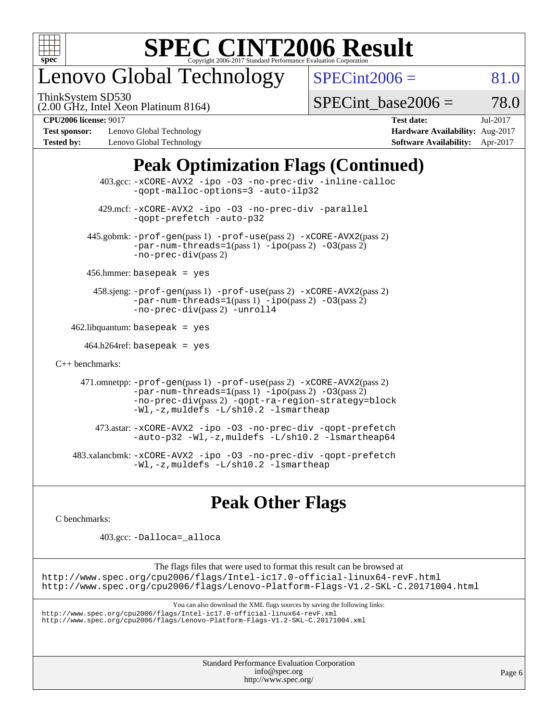

# enovo Global Technology

ThinkSystem SD530

 $SPECint2006 = 81.0$  $SPECint2006 = 81.0$ 

(2.00 GHz, Intel Xeon Platinum 8164)

 $SPECTnt\_base2006 = 78.0$ 

**[Test sponsor:](http://www.spec.org/auto/cpu2006/Docs/result-fields.html#Testsponsor)** Lenovo Global Technology **[Hardware Availability:](http://www.spec.org/auto/cpu2006/Docs/result-fields.html#HardwareAvailability)** Aug-2017 **[Tested by:](http://www.spec.org/auto/cpu2006/Docs/result-fields.html#Testedby)** Lenovo Global Technology **[Software Availability:](http://www.spec.org/auto/cpu2006/Docs/result-fields.html#SoftwareAvailability)** Apr-2017

**[CPU2006 license:](http://www.spec.org/auto/cpu2006/Docs/result-fields.html#CPU2006license)** 9017 **[Test date:](http://www.spec.org/auto/cpu2006/Docs/result-fields.html#Testdate)** Jul-2017

### **[Peak Optimization Flags \(Continued\)](http://www.spec.org/auto/cpu2006/Docs/result-fields.html#PeakOptimizationFlags)**

|                                        | $403.\text{sec}: -x \text{CORE-AVX2}$ -ipo -03 -no-prec-div -inline-calloc<br>-gopt-malloc-options=3 -auto-ilp32                                                                                                              |
|----------------------------------------|-------------------------------------------------------------------------------------------------------------------------------------------------------------------------------------------------------------------------------|
|                                        | 429.mcf: -xCORE-AVX2 -ipo -03 -no-prec-div -parallel<br>-gopt-prefetch -auto-p32                                                                                                                                              |
|                                        | 445.gobmk: -prof-gen(pass 1) -prof-use(pass 2) -xCORE-AVX2(pass 2)<br>$-par-num-threads=1(pass 1) -ipo(pass 2) -03(pass 2)$<br>$-no\text{-}prec\text{-div}(pass 2)$                                                           |
| $456.$ hmmer: basepeak = yes           |                                                                                                                                                                                                                               |
|                                        | 458.sjeng: -prof-gen(pass 1) -prof-use(pass 2) -xCORE-AVX2(pass 2)<br>$-par-num-threads=1(pass 1) -ipo(pass 2) -03(pass 2)$<br>-no-prec-div(pass 2) -unroll4                                                                  |
| $462$ .libquantum: basepeak = yes      |                                                                                                                                                                                                                               |
| $464.h264 \text{ref}$ : basepeak = yes |                                                                                                                                                                                                                               |
| $C_{++}$ benchmarks:                   |                                                                                                                                                                                                                               |
|                                        | 471.omnetpp: -prof-gen(pass 1) -prof-use(pass 2) -xCORE-AVX2(pass 2)<br>$-par-num-threads=1(pass 1) -ipo(pass 2) -03(pass 2)$<br>-no-prec-div(pass 2) -qopt-ra-region-strategy=block<br>-Wl,-z, muldefs -L/sh10.2 -lsmartheap |
|                                        | 473.astar: -xCORE-AVX2 -ipo -03 -no-prec-div -qopt-prefetch<br>$-$ auto-p32 -Wl,-z, muldefs -L/sh10.2 -lsmartheap64                                                                                                           |
|                                        | 483.xalancbmk: -xCORE-AVX2 -ipo -03 -no-prec-div -qopt-prefetch<br>$-Wl$ , $-z$ , muldefs $-L/\nabla L$ , 2 $-l$ smartheap                                                                                                    |

### **[Peak Other Flags](http://www.spec.org/auto/cpu2006/Docs/result-fields.html#PeakOtherFlags)**

[C benchmarks](http://www.spec.org/auto/cpu2006/Docs/result-fields.html#Cbenchmarks):

403.gcc: [-Dalloca=\\_alloca](http://www.spec.org/cpu2006/results/res2017q4/cpu2006-20170918-49689.flags.html#b403.gcc_peakEXTRA_CFLAGS_Dalloca_be3056838c12de2578596ca5467af7f3)

The flags files that were used to format this result can be browsed at <http://www.spec.org/cpu2006/flags/Intel-ic17.0-official-linux64-revF.html> <http://www.spec.org/cpu2006/flags/Lenovo-Platform-Flags-V1.2-SKL-C.20171004.html>

You can also download the XML flags sources by saving the following links:

<http://www.spec.org/cpu2006/flags/Intel-ic17.0-official-linux64-revF.xml> <http://www.spec.org/cpu2006/flags/Lenovo-Platform-Flags-V1.2-SKL-C.20171004.xml>